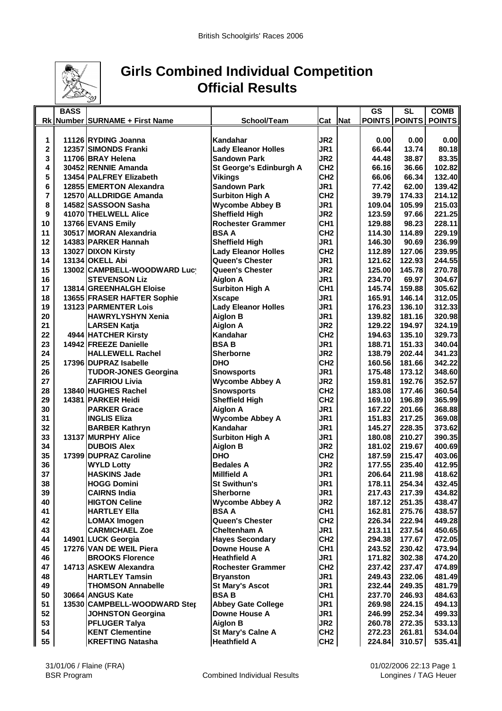

## **Girls Combined Individual Competition Official Results**

|                         | <b>BASS</b> |                                             |                                        |                 |     | GS               | SL               | <b>COMB</b>      |
|-------------------------|-------------|---------------------------------------------|----------------------------------------|-----------------|-----|------------------|------------------|------------------|
|                         |             | Rk Number SURNAME + First Name              | School/Team                            | Cat             | Nat | <b>POINTS</b>    | <b>POINTS</b>    | <b>POINTS</b>    |
|                         |             |                                             |                                        |                 |     |                  |                  |                  |
| 1                       |             | 11126 RYDING Joanna                         | Kandahar                               | JR <sub>2</sub> |     | 0.00             | 0.00             | 0.00             |
| $\overline{\mathbf{c}}$ |             | <b>12357 SIMONDS Franki</b>                 | <b>Lady Eleanor Holles</b>             | JR1             |     | 66.44            | 13.74            | 80.18            |
| 3                       |             | 11706 BRAY Helena                           | <b>Sandown Park</b>                    | JR <sub>2</sub> |     | 44.48            | 38.87            | 83.35            |
| 4                       |             | 30452 RENNIE Amanda                         | St George's Edinburgh A                | CH <sub>2</sub> |     | 66.16            | 36.66            | 102.82           |
| 5                       |             | 13454 PALFREY Elizabeth                     | <b>Vikings</b>                         | CH <sub>2</sub> |     | 66.06            | 66.34            | 132.40           |
| 6                       |             | 12855 EMERTON Alexandra                     | <b>Sandown Park</b>                    | JR <sub>1</sub> |     | 77.42            | 62.00            | 139.42           |
| 7                       |             | 12570 ALLDRIDGE Amanda                      | <b>Surbiton High A</b>                 | CH <sub>2</sub> |     | 39.79            | 174.33           | 214.12           |
| 8                       |             | 14582 SASSOON Sasha                         | <b>Wycombe Abbey B</b>                 | JR1             |     | 109.04           | 105.99           | 215.03           |
| 9                       |             | 41070 THELWELL Alice                        | <b>Sheffield High</b>                  | JR <sub>2</sub> |     | 123.59           | 97.66            | 221.25           |
| 10                      |             | 13766 EVANS Emily                           | <b>Rochester Grammer</b>               | CH <sub>1</sub> |     | 129.88           | 98.23            | 228.11           |
| 11                      |             | 30517 MORAN Alexandria                      | <b>BSA A</b>                           | CH <sub>2</sub> |     | 114.30           | 114.89           | 229.19           |
| 12                      |             | 14383 PARKER Hannah                         | <b>Sheffield High</b>                  | JR <sub>1</sub> |     | 146.30           | 90.69            | 236.99           |
| 13                      |             | 13027 DIXON Kirsty                          | <b>Lady Eleanor Holles</b>             | CH <sub>2</sub> |     | 112.89           | 127.06           | 239.95           |
| 14                      |             | 13134 OKELL Abi                             | <b>Queen's Chester</b>                 | JR1             |     | 121.62           | 122.93           | 244.55           |
| 15                      |             | 13002 CAMPBELL-WOODWARD Lucy                | Queen's Chester                        | JR <sub>2</sub> |     | 125.00           | 145.78           | 270.78           |
| 16                      |             | <b>STEVENSON Liz</b>                        | <b>Aiglon A</b>                        | JR <sub>1</sub> |     | 234.70           | 69.97            | 304.67           |
| 17                      |             | 13814 GREENHALGH Eloise                     | <b>Surbiton High A</b>                 | CH <sub>1</sub> |     | 145.74           | 159.88           | 305.62           |
| 18                      |             | 13655 FRASER HAFTER Sophie                  | <b>Xscape</b>                          | JR <sub>1</sub> |     | 165.91           | 146.14           | 312.05           |
| 19                      |             | 13123 PARMENTER Lois                        | <b>Lady Eleanor Holles</b>             | JR <sub>1</sub> |     | 176.23           | 136.10           | 312.33           |
| 20                      |             | <b>HAWRYLYSHYN Xenia</b>                    | <b>Aiglon B</b>                        | JR <sub>1</sub> |     | 139.82           | 181.16           | 320.98           |
| 21                      |             | <b>LARSEN Katja</b>                         | <b>Aiglon A</b>                        | JR <sub>2</sub> |     | 129.22           | 194.97           | 324.19           |
| 22                      |             | 4944 HATCHER Kirsty                         | <b>Kandahar</b>                        | CH <sub>2</sub> |     | 194.63           | 135.10           | 329.73           |
| 23                      |             | 14942 FREEZE Danielle                       | <b>BSAB</b>                            | JR <sub>1</sub> |     | 188.71           | 151.33           | 340.04           |
| 24                      |             | <b>HALLEWELL Rachel</b>                     | <b>Sherborne</b>                       | JR <sub>2</sub> |     | 138.79           | 202.44           | 341.23           |
| 25                      |             | 17396 DUPRAZ Isabelle                       | <b>DHO</b>                             | CH <sub>2</sub> |     | 160.56           | 181.66           | 342.22           |
| 26                      |             | <b>TUDOR-JONES Georgina</b>                 | <b>Snowsports</b>                      | JR <sub>1</sub> |     | 175.48           | 173.12           | 348.60           |
| 27                      |             | <b>ZAFIRIOU Livia</b>                       | <b>Wycombe Abbey A</b>                 | JR <sub>2</sub> |     | 159.81           | 192.76           | 352.57           |
| 28                      |             | 13840 HUGHES Rachel                         | <b>Snowsports</b>                      | CH <sub>2</sub> |     | 183.08           | 177.46           | 360.54           |
| 29                      |             | 14381 PARKER Heidi                          | <b>Sheffield High</b>                  | CH <sub>2</sub> |     | 169.10           | 196.89           | 365.99           |
| 30                      |             | <b>PARKER Grace</b>                         | <b>Aiglon A</b>                        | JR <sub>1</sub> |     | 167.22           | 201.66           | 368.88           |
| 31                      |             | <b>INGLIS Eliza</b>                         | <b>Wycombe Abbey A</b>                 | JR <sub>1</sub> |     | 151.83           | 217.25           | 369.08           |
| 32                      |             | <b>BARBER Kathryn</b>                       | Kandahar                               | JR <sub>1</sub> |     | 145.27           | 228.35           | 373.62           |
| 33                      |             | <b>13137 MURPHY Alice</b>                   | <b>Surbiton High A</b>                 | JR <sub>1</sub> |     | 180.08           | 210.27           | 390.35           |
| 34                      |             | <b>DUBOIS Alex</b>                          | <b>Aiglon B</b>                        | JR <sub>2</sub> |     | 181.02           | 219.67           | 400.69           |
| 35                      |             | 17399 DUPRAZ Caroline                       | <b>DHO</b>                             | CH <sub>2</sub> |     | 187.59           | 215.47           | 403.06           |
| 36                      |             |                                             | <b>Bedales A</b>                       | JR <sub>2</sub> |     | 177.55           | 235.40           | 412.95           |
| 37                      |             | <b>WYLD Lotty</b>                           | <b>Millfield A</b>                     | JR <sub>1</sub> |     |                  |                  | 418.62           |
| 38                      |             | <b>HASKINS Jade</b>                         | <b>St Swithun's</b>                    | JR1             |     | 206.64<br>178.11 | 211.98<br>254.34 | 432.45           |
| 39                      |             | <b>HOGG Domini</b>                          |                                        | JR1             |     |                  |                  | 434.82           |
| 40                      |             | <b>CAIRNS India</b><br><b>HIGTON Celine</b> | Sherborne                              |                 |     | 217.43           | 217.39           | 438.47           |
|                         |             |                                             | <b>Wycombe Abbey A</b><br><b>BSA A</b> | JR <sub>2</sub> |     | 187.12           | 251.35           |                  |
| 41                      |             | <b>HARTLEY Ella</b>                         |                                        | CH <sub>1</sub> |     | 162.81           | 275.76           | 438.57<br>449.28 |
| 42                      |             | <b>LOMAX Imogen</b>                         | Queen's Chester                        | CH <sub>2</sub> |     | 226.34           | 222.94           |                  |
| 43                      |             | <b>CARMICHAEL Zoe</b>                       | <b>Cheltenham A</b>                    | JR1             |     | 213.11           | 237.54           | 450.65           |
| 44                      |             | 14901 LUCK Georgia                          | <b>Hayes Secondary</b>                 | CH <sub>2</sub> |     | 294.38           | 177.67           | 472.05           |
| 45                      |             | 17276 VAN DE WEIL Piera                     | <b>Downe House A</b>                   | CH <sub>1</sub> |     | 243.52           | 230.42           | 473.94           |
| 46                      |             | <b>BROOKS Florence</b>                      | <b>Heathfield A</b>                    | JR1             |     | 171.82           | 302.38           | 474.20           |
| 47                      |             | 14713 ASKEW Alexandra                       | <b>Rochester Grammer</b>               | CH <sub>2</sub> |     | 237.42           | 237.47           | 474.89           |
| 48                      |             | <b>HARTLEY Tamsin</b>                       | <b>Bryanston</b>                       | JR1             |     | 249.43           | 232.06           | 481.49           |
| 49                      |             | <b>THOMSON Annabelle</b>                    | <b>St Mary's Ascot</b>                 | JR1             |     | 232.44           | 249.35           | 481.79           |
| 50                      |             | 30664 ANGUS Kate                            | <b>BSAB</b>                            | CH <sub>1</sub> |     | 237.70           | 246.93           | 484.63           |
| 51                      |             | 13530 CAMPBELL-WOODWARD Ster                | <b>Abbey Gate College</b>              | JR1             |     | 269.98           | 224.15           | 494.13           |
| 52                      |             | <b>JOHNSTON Georgina</b>                    | Downe House A                          | JR1             |     | 246.99           | 252.34           | 499.33           |
| 53                      |             | <b>PFLUGER Talya</b>                        | <b>Aiglon B</b>                        | JR <sub>2</sub> |     | 260.78           | 272.35           | 533.13           |
| 54                      |             | <b>KENT Clementine</b>                      | St Mary's Calne A                      | CH <sub>2</sub> |     | 272.23           | 261.81           | 534.04           |
| 55                      |             | <b>KREFTING Natasha</b>                     | <b>Heathfield A</b>                    | CH <sub>2</sub> |     | 224.84           | 310.57           | 535.41           |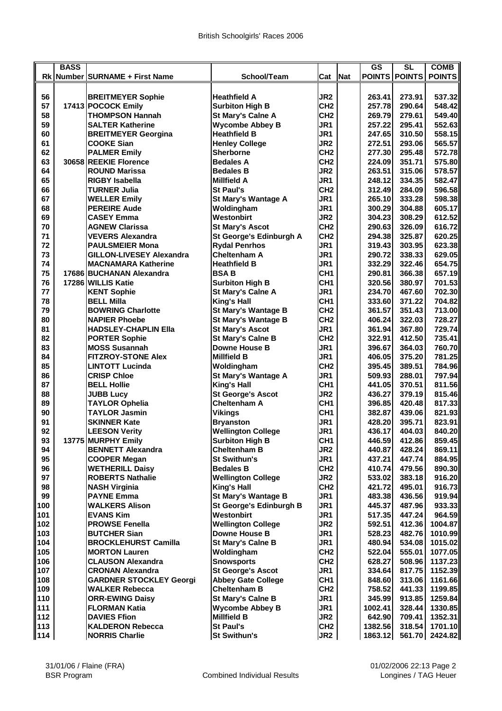|     | <b>BASS</b> |                                 |                                                  |                 |            | <b>GS</b> | $\overline{\text{SL}}$ | <b>COMB</b>      |
|-----|-------------|---------------------------------|--------------------------------------------------|-----------------|------------|-----------|------------------------|------------------|
|     |             | Rk Number SURNAME + First Name  | School/Team                                      | Cat             | <b>Nat</b> |           | POINTS POINTS          | <b>POINTS</b>    |
|     |             |                                 |                                                  |                 |            |           |                        |                  |
|     |             |                                 |                                                  |                 |            |           |                        |                  |
| 56  |             | <b>BREITMEYER Sophie</b>        | <b>Heathfield A</b>                              | JR <sub>2</sub> |            | 263.41    | 273.91                 | 537.32           |
| 57  |             | 17413 POCOCK Emily              | <b>Surbiton High B</b>                           | CH <sub>2</sub> |            | 257.78    | 290.64                 | 548.42           |
| 58  |             | <b>THOMPSON Hannah</b>          | St Mary's Calne A                                | CH <sub>2</sub> |            | 269.79    | 279.61                 | 549.40           |
| 59  |             | <b>SALTER Katherine</b>         | <b>Wycombe Abbey B</b>                           | JR1             |            | 257.22    | 295.41                 | 552.63           |
| 60  |             | <b>BREITMEYER Georgina</b>      | <b>Heathfield B</b>                              | JR1             |            | 247.65    | 310.50                 | 558.15           |
| 61  |             | <b>COOKE Sian</b>               | <b>Henley College</b>                            | JR <sub>2</sub> |            | 272.51    | 293.06                 | 565.57           |
| 62  |             | <b>PALMER Emily</b>             | <b>Sherborne</b>                                 | CH <sub>2</sub> |            | 277.30    | 295.48                 | 572.78           |
| 63  |             | 30658 REEKIE Florence           | <b>Bedales A</b>                                 | CH <sub>2</sub> |            | 224.09    | 351.71                 | 575.80           |
| 64  |             | <b>ROUND Marissa</b>            | <b>Bedales B</b>                                 | JR <sub>2</sub> |            | 263.51    | 315.06                 | 578.57           |
| 65  |             | <b>RIGBY Isabella</b>           | <b>Millfield A</b>                               | JR1             |            | 248.12    | 334.35                 | 582.47           |
| 66  |             | <b>TURNER Julia</b>             | <b>St Paul's</b>                                 | CH <sub>2</sub> |            | 312.49    | 284.09                 | 596.58           |
| 67  |             | <b>WELLER Emily</b>             | <b>St Mary's Wantage A</b>                       | JR <sub>1</sub> |            | 265.10    | 333.28                 | 598.38           |
| 68  |             | <b>PEREIRE Aude</b>             | Woldingham                                       | JR <sub>1</sub> |            | 300.29    | 304.88                 | 605.17           |
| 69  |             | <b>CASEY Emma</b>               | Westonbirt                                       | JR <sub>2</sub> |            | 304.23    | 308.29                 | 612.52           |
| 70  |             | <b>AGNEW Clarissa</b>           | <b>St Mary's Ascot</b>                           | CH <sub>2</sub> |            | 290.63    | 326.09                 | 616.72           |
| 71  |             | <b>VEVERS Alexandra</b>         | St George's Edinburgh A                          | CH <sub>2</sub> |            | 294.38    | 325.87                 | 620.25           |
| 72  |             | <b>PAULSMEIER Mona</b>          | <b>Rydal Penrhos</b>                             | JR1             |            | 319.43    | 303.95                 | 623.38           |
| 73  |             | <b>GILLON-LIVESEY Alexandra</b> | <b>Cheltenham A</b>                              | JR <sub>1</sub> |            | 290.72    | 338.33                 | 629.05           |
| 74  |             | <b>MACNAMARA Katherine</b>      | <b>Heathfield B</b>                              | JR <sub>1</sub> |            | 332.29    | 322.46                 | 654.75           |
| 75  |             | 17686 BUCHANAN Alexandra        | <b>BSAB</b>                                      | CH <sub>1</sub> |            | 290.81    | 366.38                 | 657.19           |
| 76  |             | 17286 WILLIS Katie              | <b>Surbiton High B</b>                           | CH <sub>1</sub> |            | 320.56    | 380.97                 | 701.53           |
| 77  |             | <b>KENT Sophie</b>              | St Mary's Calne A                                | JR1             |            | 234.70    | 467.60                 | 702.30           |
| 78  |             | <b>BELL Milla</b>               | King's Hall                                      | CH <sub>1</sub> |            | 333.60    | 371.22                 | 704.82           |
| 79  |             | <b>BOWRING Charlotte</b>        | <b>St Mary's Wantage B</b>                       | CH <sub>2</sub> |            | 361.57    | 351.43                 | 713.00           |
| 80  |             | <b>NAPIER Phoebe</b>            | <b>St Mary's Wantage B</b>                       | CH <sub>2</sub> |            | 406.24    | 322.03                 | 728.27           |
| 81  |             | <b>HADSLEY-CHAPLIN Ella</b>     | <b>St Mary's Ascot</b>                           | JR <sub>1</sub> |            | 361.94    | 367.80                 | 729.74           |
| 82  |             |                                 |                                                  |                 |            |           |                        | 735.41           |
|     |             | <b>PORTER Sophie</b>            | <b>St Mary's Calne B</b><br><b>Downe House B</b> | CH <sub>2</sub> |            | 322.91    | 412.50                 |                  |
| 83  |             | <b>MOSS Susannah</b>            |                                                  | JR1             |            | 396.67    | 364.03                 | 760.70<br>781.25 |
| 84  |             | <b>FITZROY-STONE Alex</b>       | <b>Millfield B</b>                               | JR <sub>1</sub> |            | 406.05    | 375.20                 |                  |
| 85  |             | <b>LINTOTT Lucinda</b>          | Woldingham                                       | CH <sub>2</sub> |            | 395.45    | 389.51                 | 784.96           |
| 86  |             | <b>CRISP Chloe</b>              | <b>St Mary's Wantage A</b>                       | JR <sub>1</sub> |            | 509.93    | 288.01                 | 797.94           |
| 87  |             | <b>BELL Hollie</b>              | King's Hall                                      | CH <sub>1</sub> |            | 441.05    | 370.51                 | 811.56           |
| 88  |             | <b>JUBB Lucv</b>                | <b>St George's Ascot</b>                         | JR <sub>2</sub> |            | 436.27    | 379.19                 | 815.46           |
| 89  |             | <b>TAYLOR Ophelia</b>           | <b>Cheltenham A</b>                              | CH <sub>1</sub> |            | 396.85    | 420.48                 | 817.33           |
| 90  |             | <b>TAYLOR Jasmin</b>            | <b>Vikings</b>                                   | CH <sub>1</sub> |            | 382.87    | 439.06                 | 821.93           |
| 91  |             | <b>SKINNER Kate</b>             | <b>Bryanston</b>                                 | JR <sub>1</sub> |            | 428.20    | 395.71                 | 823.91           |
| 92  |             | <b>LEESON Verity</b>            | <b>Wellington College</b>                        | JR <sub>1</sub> |            | 436.17    | 404.03                 | 840.20           |
| 93  |             | 13775 MURPHY Emily              | <b>Surbiton High B</b>                           | CH <sub>1</sub> |            | 446.59    | 412.86                 | 859.45           |
| 94  |             | <b>BENNETT Alexandra</b>        | <b>Cheltenham B</b>                              | JR <sub>2</sub> |            | 440.87    | 428.24                 | 869.11           |
| 95  |             | <b>COOPER Megan</b>             | <b>St Swithun's</b>                              | JR1             |            | 437.21    | 447.74                 | 884.95           |
| 96  |             | <b>WETHERILL Daisy</b>          | <b>Bedales B</b>                                 | CH <sub>2</sub> |            | 410.74    | 479.56                 | 890.30           |
| 97  |             | <b>ROBERTS Nathalie</b>         | <b>Wellington College</b>                        | JR <sub>2</sub> |            | 533.02    | 383.18                 | 916.20           |
| 98  |             | <b>NASH Virginia</b>            | King's Hall                                      | CH <sub>2</sub> |            | 421.72    | 495.01                 | 916.73           |
| 99  |             | <b>PAYNE Emma</b>               | <b>St Mary's Wantage B</b>                       | JR1             |            | 483.38    | 436.56                 | 919.94           |
| 100 |             | <b>WALKERS Alison</b>           | St George's Edinburgh B                          | JR1             |            | 445.37    | 487.96                 | 933.33           |
| 101 |             | <b>EVANS Kim</b>                | Westonbirt                                       | JR <sub>1</sub> |            | 517.35    | 447.24                 | 964.59           |
| 102 |             | <b>PROWSE Fenella</b>           | <b>Wellington College</b>                        | JR <sub>2</sub> |            | 592.51    | 412.36                 | 1004.87          |
| 103 |             | <b>BUTCHER Sian</b>             | <b>Downe House B</b>                             | JR1             |            | 528.23    | 482.76                 | 1010.99          |
| 104 |             | <b>BROCKLEHURST Camilla</b>     | <b>St Mary's Calne B</b>                         | JR1             |            | 480.94    | 534.08                 | 1015.02          |
| 105 |             | <b>MORTON Lauren</b>            | Woldingham                                       | CH <sub>2</sub> |            | 522.04    | 555.01                 | 1077.05          |
| 106 |             | <b>CLAUSON Alexandra</b>        | <b>Snowsports</b>                                | CH <sub>2</sub> |            | 628.27    | 508.96                 | 1137.23          |
| 107 |             | <b>CRONAN Alexandra</b>         | <b>St George's Ascot</b>                         | JR1             |            | 334.64    | 817.75                 | 1152.39          |
| 108 |             | <b>GARDNER STOCKLEY Georgi</b>  | <b>Abbey Gate College</b>                        | CH <sub>1</sub> |            | 848.60    | 313.06                 | 1161.66          |
| 109 |             | <b>WALKER Rebecca</b>           | <b>Cheltenham B</b>                              | CH <sub>2</sub> |            | 758.52    | 441.33                 | 1199.85          |
| 110 |             | <b>ORR-EWING Daisy</b>          | <b>St Mary's Calne B</b>                         | JR1             |            | 345.99    | 913.85                 | 1259.84          |
| 111 |             | <b>FLORMAN Katia</b>            | <b>Wycombe Abbey B</b>                           | JR1             |            | 1002.41   | 328.44                 | 1330.85          |
| 112 |             | <b>DAVIES Ffion</b>             | <b>Millfield B</b>                               | JR <sub>2</sub> |            | 642.90    | 709.41                 | 1352.31          |
| 113 |             | <b>KALDERON Rebecca</b>         | <b>St Paul's</b>                                 | CH <sub>2</sub> |            | 1382.56   | 318.54                 | 1701.10          |
| 114 |             | <b>NORRIS Charlie</b>           | <b>St Swithun's</b>                              | JR <sub>2</sub> |            | 1863.12   | 561.70                 | 2424.82          |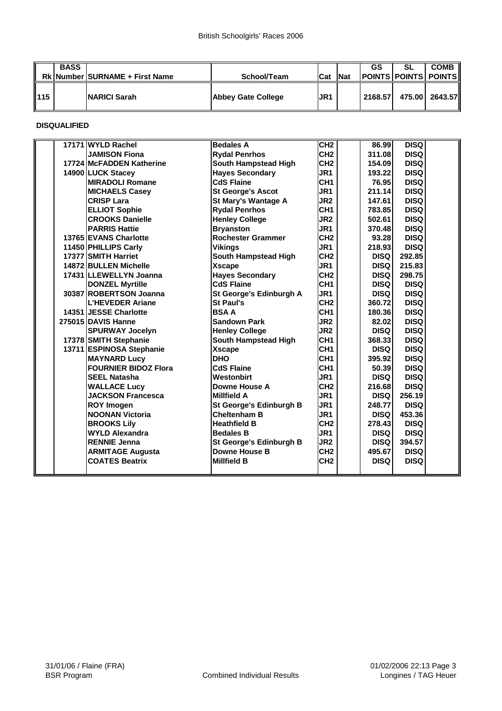|        | <b>BASS</b> | <b>RkINumberISURNAME + First Name</b> | School/Team        | <b>ICat</b> | <b>INat</b> | GS      | <b>SL</b> | <b>COMB</b><br><b>IPOINTS POINTS POINTS</b> |
|--------|-------------|---------------------------------------|--------------------|-------------|-------------|---------|-----------|---------------------------------------------|
| ll 115 |             | <b>INARICI Sarah</b>                  | Abbey Gate College | <b>JR1</b>  |             | 2168.57 |           | 475.00 2643.57                              |

**DISQUALIFIED**

| 17171 WYLD Rachel           | <b>Bedales A</b>         | CH2             | 86.99       | <b>DISQ</b> |
|-----------------------------|--------------------------|-----------------|-------------|-------------|
| <b>JAMISON Fiona</b>        | <b>Rydal Penrhos</b>     | CH <sub>2</sub> | 311.08      | <b>DISQ</b> |
| 17724 McFADDEN Katherine    | South Hampstead High     | CH <sub>2</sub> | 154.09      | <b>DISQ</b> |
| 14900 LUCK Stacey           | <b>Hayes Secondary</b>   | JR1             | 193.22      | <b>DISQ</b> |
| <b>MIRADOLI Romane</b>      | <b>CdS Flaine</b>        | CH <sub>1</sub> | 76.95       | <b>DISQ</b> |
| <b>MICHAELS Casey</b>       | <b>St George's Ascot</b> | JR <sub>1</sub> | 211.14      | <b>DISQ</b> |
| <b>CRISP Lara</b>           | St Mary's Wantage A      | JR <sub>2</sub> | 147.61      | <b>DISQ</b> |
| <b>ELLIOT Sophie</b>        | <b>Rydal Penrhos</b>     | CH <sub>1</sub> | 783.85      | <b>DISQ</b> |
| <b>CROOKS Danielle</b>      | <b>Henley College</b>    | JR <sub>2</sub> | 502.61      | <b>DISQ</b> |
| <b>PARRIS Hattie</b>        | <b>Bryanston</b>         | JR1             | 370.48      | <b>DISQ</b> |
| 13765 EVANS Charlotte       | <b>Rochester Grammer</b> | CH <sub>2</sub> | 93.28       | <b>DISQ</b> |
| 11450 PHILLIPS Carly        | Vikings                  | JR <sub>1</sub> | 218.93      | <b>DISQ</b> |
| 17377 SMITH Harriet         | South Hampstead High     | CH <sub>2</sub> | <b>DISQ</b> | 292.85      |
| 14872 BULLEN Michelle       | <b>Xscape</b>            | JR <sub>1</sub> | <b>DISQ</b> | 215.83      |
| 17431 ILLEWELLYN Joanna     | <b>Hayes Secondary</b>   | CH <sub>2</sub> | <b>DISQ</b> | 298.75      |
| <b>DONZEL Myrtille</b>      | <b>CdS Flaine</b>        | CH <sub>1</sub> | <b>DISQ</b> | <b>DISQ</b> |
| 30387 ROBERTSON Joanna      | St George's Edinburgh A  | JR1             | <b>DISQ</b> | <b>DISQ</b> |
| <b>L'HEVEDER Ariane</b>     | <b>St Paul's</b>         | CH <sub>2</sub> | 360.72      | <b>DISQ</b> |
| 14351 JESSE Charlotte       | <b>BSA A</b>             | CH <sub>1</sub> | 180.36      | <b>DISQ</b> |
| 275015 DAVIS Hanne          | <b>Sandown Park</b>      | JR <sub>2</sub> | 82.02       | <b>DISQ</b> |
| <b>SPURWAY Jocelyn</b>      | <b>Henley College</b>    | JR <sub>2</sub> | <b>DISQ</b> | <b>DISQ</b> |
| 17378 SMITH Stephanie       | South Hampstead High     | CH <sub>1</sub> | 368.33      | <b>DISQ</b> |
| 13711 ESPINOSA Stephanie    | <b>Xscape</b>            | CH <sub>1</sub> | <b>DISQ</b> | <b>DISQ</b> |
| <b>MAYNARD Lucv</b>         | <b>DHO</b>               | CH <sub>1</sub> | 395.92      | <b>DISQ</b> |
| <b>FOURNIER BIDOZ Flora</b> | <b>CdS Flaine</b>        | CH <sub>1</sub> | 50.39       | <b>DISQ</b> |
| <b>SEEL Natasha</b>         | Westonbirt               | JR <sub>1</sub> | <b>DISQ</b> | <b>DISQ</b> |
| <b>WALLACE Lucy</b>         | Downe House A            | CH <sub>2</sub> | 216.68      | <b>DISQ</b> |
| <b>JACKSON Francesca</b>    | <b>Millfield A</b>       | JR1             | <b>DISQ</b> | 256.19      |
| <b>ROY Imogen</b>           | St George's Edinburgh B  | JR1             | 248.77      | <b>DISQ</b> |
| <b>NOONAN Victoria</b>      | <b>Cheltenham B</b>      | JR <sub>1</sub> | <b>DISQ</b> | 453.36      |
| <b>BROOKS Lily</b>          | <b>Heathfield B</b>      | CH <sub>2</sub> | 278.43      | <b>DISQ</b> |
| <b>WYLD Alexandra</b>       | <b>Bedales B</b>         | JR1             | <b>DISQ</b> | <b>DISQ</b> |
| <b>RENNIE Jenna</b>         | St George's Edinburgh B  | JR <sub>2</sub> | <b>DISQ</b> | 394.57      |
| <b>ARMITAGE Augusta</b>     | Downe House B            | CH <sub>2</sub> | 495.67      | <b>DISQ</b> |
| <b>COATES Beatrix</b>       | <b>Millfield B</b>       | CH <sub>2</sub> | <b>DISQ</b> | <b>DISQ</b> |
|                             |                          |                 |             |             |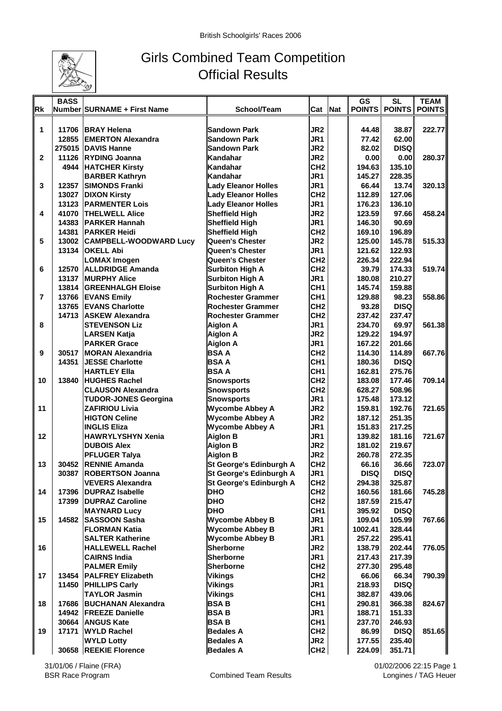

## Girls Combined Team Competition Official Results

|                | <b>BASS</b> |                                            |                            |                 |            | <b>GS</b>     | <b>SL</b>     | <b>TEAM</b>   |
|----------------|-------------|--------------------------------------------|----------------------------|-----------------|------------|---------------|---------------|---------------|
| <b>Rk</b>      |             | Number SURNAME + First Name                | School/Team                | Cat             | <b>Nat</b> | <b>POINTS</b> | <b>POINTS</b> | <b>POINTS</b> |
|                |             |                                            |                            |                 |            |               |               |               |
| 1              |             | 11706 BRAY Helena                          | <b>Sandown Park</b>        | JR <sub>2</sub> |            | 44.48         | 38.87         | 222.77        |
|                |             | 12855 EMERTON Alexandra                    | <b>Sandown Park</b>        | JR <sub>1</sub> |            | 77.42         | 62.00         |               |
|                |             | 275015 DAVIS Hanne                         | <b>Sandown Park</b>        | JR <sub>2</sub> |            | 82.02         | <b>DISQ</b>   |               |
| $\mathbf{2}$   |             | 11126 RYDING Joanna                        | Kandahar                   | JR <sub>2</sub> |            | 0.00          | 0.00          | 280.37        |
|                |             | 4944 HATCHER Kirsty                        | Kandahar                   | CH <sub>2</sub> |            | 194.63        | 135.10        |               |
|                |             | <b>BARBER Kathryn</b>                      | Kandahar                   | JR1             |            | 145.27        | 228.35        |               |
| 3              |             | 12357 SIMONDS Franki                       | <b>Lady Eleanor Holles</b> | JR <sub>1</sub> |            | 66.44         | 13.74         | 320.13        |
|                |             | 13027 DIXON Kirsty                         | <b>Lady Eleanor Holles</b> | CH <sub>2</sub> |            | 112.89        | 127.06        |               |
|                |             | <b>13123 PARMENTER Lois</b>                | <b>Lady Eleanor Holles</b> | JR <sub>1</sub> |            | 176.23        | 136.10        |               |
| 4              |             | 41070  THELWELL Alice                      | <b>Sheffield High</b>      | JR <sub>2</sub> |            | 123.59        | 97.66         | 458.24        |
|                |             | 14383 PARKER Hannah                        | <b>Sheffield High</b>      | JR <sub>1</sub> |            | 146.30        | 90.69         |               |
|                |             | 14381 PARKER Heidi                         | <b>Sheffield High</b>      | CH <sub>2</sub> |            | 169.10        | 196.89        |               |
| 5              |             | 13002 CAMPBELL-WOODWARD Lucy               | Queen's Chester            | JR <sub>2</sub> |            | 125.00        | 145.78        | 515.33        |
|                | 13134       | <b>OKELL Abi</b>                           | <b>Queen's Chester</b>     | JR <sub>1</sub> |            | 121.62        | 122.93        |               |
|                |             | <b>LOMAX Imogen</b>                        | <b>Queen's Chester</b>     | CH <sub>2</sub> |            | 226.34        | 222.94        |               |
| 6              | 12570       | <b>ALLDRIDGE Amanda</b>                    | <b>Surbiton High A</b>     | CH <sub>2</sub> |            | 39.79         | 174.33        | 519.74        |
|                |             | 13137 MURPHY Alice                         | <b>Surbiton High A</b>     | JR <sub>1</sub> |            | 180.08        | 210.27        |               |
|                |             | <b>13814 GREENHALGH Eloise</b>             | <b>Surbiton High A</b>     | CH <sub>1</sub> |            | 145.74        | 159.88        |               |
| $\overline{7}$ |             | 13766 EVANS Emily                          | Rochester Grammer          | CH <sub>1</sub> |            | 129.88        | 98.23         | 558.86        |
|                |             | 13765 EVANS Charlotte                      | <b>Rochester Grammer</b>   | CH <sub>2</sub> |            | 93.28         | <b>DISQ</b>   |               |
|                | 14713       | <b>ASKEW Alexandra</b>                     | <b>Rochester Grammer</b>   | CH <sub>2</sub> |            | 237.42        | 237.47        |               |
| 8              |             | <b>STEVENSON Liz</b>                       | <b>Aiglon A</b>            | JR <sub>1</sub> |            | 234.70        | 69.97         | 561.38        |
|                |             |                                            | <b>Aiglon A</b>            | JR <sub>2</sub> |            | 129.22        | 194.97        |               |
|                |             | <b>LARSEN Katja</b><br><b>PARKER Grace</b> |                            | JR1             |            | 167.22        | 201.66        |               |
|                |             |                                            | <b>Aiglon A</b>            |                 |            |               |               |               |
| 9              |             | 30517 MORAN Alexandria                     | <b>BSAA</b>                | CH <sub>2</sub> |            | 114.30        | 114.89        | 667.76        |
|                | 14351       | <b>JESSE Charlotte</b>                     | <b>BSAA</b>                | CH <sub>1</sub> |            | 180.36        | <b>DISQ</b>   |               |
|                |             | <b>HARTLEY Ella</b>                        | <b>BSAA</b>                | CH <sub>1</sub> |            | 162.81        | 275.76        |               |
| 10             | 13840       | <b>HUGHES Rachel</b>                       | <b>Snowsports</b>          | CH <sub>2</sub> |            | 183.08        | 177.46        | 709.14        |
|                |             | <b>CLAUSON Alexandra</b>                   | <b>Snowsports</b>          | CH <sub>2</sub> |            | 628.27        | 508.96        |               |
|                |             | <b>TUDOR-JONES Georgina</b>                | <b>Snowsports</b>          | JR1             |            | 175.48        | 173.12        |               |
| 11             |             | <b>ZAFIRIOU Livia</b>                      | <b>Wycombe Abbey A</b>     | JR <sub>2</sub> |            | 159.81        | 192.76        | 721.65        |
|                |             | <b>HIGTON Celine</b>                       | <b>Wycombe Abbey A</b>     | JR <sub>2</sub> |            | 187.12        | 251.35        |               |
|                |             | <b>INGLIS Eliza</b>                        | <b>Wycombe Abbey A</b>     | JR1             |            | 151.83        | 217.25        |               |
| 12             |             | <b>HAWRYLYSHYN Xenia</b>                   | <b>Aiglon B</b>            | JR <sub>1</sub> |            | 139.82        | 181.16        | 721.67        |
|                |             | <b>DUBOIS Alex</b>                         | <b>Aiglon B</b>            | JR <sub>2</sub> |            | 181.02        | 219.67        |               |
|                |             | <b>PFLUGER Talya</b>                       | <b>Aiglon B</b>            | JR <sub>2</sub> |            | 260.78        | 272.35        |               |
| 13             |             | 30452 RENNIE Amanda                        | St George's Edinburgh A    | CH <sub>2</sub> |            | 66.16         | 36.66         | 723.07        |
|                |             | 30387 ROBERTSON Joanna                     | St George's Edinburgh A    | JR <sub>1</sub> |            | <b>DISQ</b>   | <b>DISQ</b>   |               |
|                |             | <b>VEVERS Alexandra</b>                    | St George's Edinburgh A    | CH <sub>2</sub> |            | 294.38        | 325.87        |               |
| 14             | 17396       | <b>DUPRAZ Isabelle</b>                     | <b>DHO</b>                 | CH <sub>2</sub> |            | 160.56        | 181.66        | 745.28        |
|                |             | 17399 DUPRAZ Caroline                      | <b>DHO</b>                 | CH <sub>2</sub> |            | 187.59        | 215.47        |               |
|                |             | <b>MAYNARD Lucy</b>                        | <b>DHO</b>                 | CH <sub>1</sub> |            | 395.92        | <b>DISQ</b>   |               |
| 15             |             | 14582 SASSOON Sasha                        | <b>Wycombe Abbey B</b>     | JR1             |            | 109.04        | 105.99        | 767.66        |
|                |             | <b>FLORMAN Katia</b>                       | <b>Wycombe Abbey B</b>     | JR1             |            | 1002.41       | 328.44        |               |
|                |             | <b>SALTER Katherine</b>                    | <b>Wycombe Abbey B</b>     | JR1             |            | 257.22        | 295.41        |               |
| 16             |             | <b>HALLEWELL Rachel</b>                    | <b>Sherborne</b>           | JR <sub>2</sub> |            | 138.79        | 202.44        | 776.05        |
|                |             | <b>CAIRNS India</b>                        | Sherborne                  | JR <sub>1</sub> |            | 217.43        | 217.39        |               |
|                |             | <b>PALMER Emily</b>                        | <b>Sherborne</b>           | CH <sub>2</sub> |            | 277.30        | 295.48        |               |
| 17             |             | 13454   PALFREY Elizabeth                  | <b>Vikings</b>             | CH <sub>2</sub> |            | 66.06         | 66.34         | 790.39        |
|                |             | 11450   PHILLIPS Carly                     | <b>Vikings</b>             | JR1             |            | 218.93        | <b>DISQ</b>   |               |
|                |             | <b>TAYLOR Jasmin</b>                       | <b>Vikings</b>             | CH <sub>1</sub> |            | 382.87        | 439.06        |               |
| 18             |             | 17686 BUCHANAN Alexandra                   | <b>BSAB</b>                | CH <sub>1</sub> |            | 290.81        | 366.38        | 824.67        |
|                |             | 14942 FREEZE Danielle                      | <b>BSAB</b>                | JR <sub>1</sub> |            | 188.71        | 151.33        |               |
|                |             | 30664 ANGUS Kate                           | <b>BSAB</b>                | CH <sub>1</sub> |            | 237.70        | 246.93        |               |
| 19             | 17171       | <b>WYLD Rachel</b>                         | <b>Bedales A</b>           | CH <sub>2</sub> |            | 86.99         | <b>DISQ</b>   | 851.65        |
|                |             | <b>WYLD Lotty</b>                          | <b>Bedales A</b>           | JR <sub>2</sub> |            | 177.55        | 235.40        |               |
|                | 30658       | <b>REEKIE Florence</b>                     | <b>Bedales A</b>           | CH <sub>2</sub> |            | 224.09        | 351.71        |               |
|                |             |                                            |                            |                 |            |               |               |               |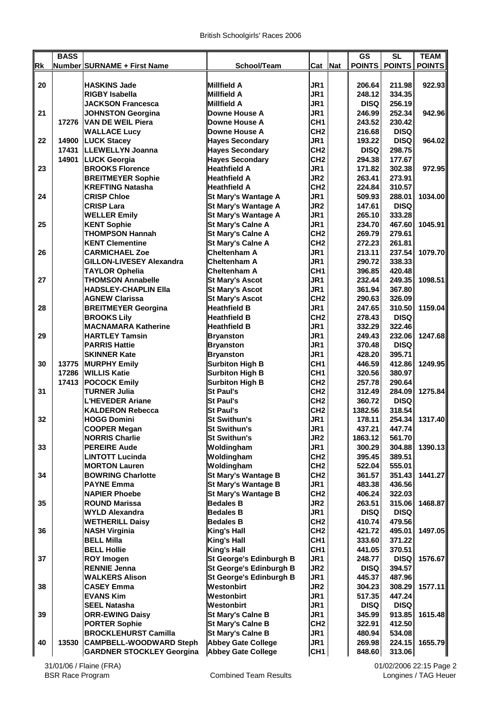|    | <b>BASS</b> |                                  |                            |                 | <b>GS</b>   | <b>SL</b>            | <b>TEAM</b>   |
|----|-------------|----------------------------------|----------------------------|-----------------|-------------|----------------------|---------------|
| Rk |             | Number SURNAME + First Name      | School/Team                | Cat Nat         |             | <b>POINTS POINTS</b> | <b>POINTS</b> |
|    |             |                                  |                            |                 |             |                      |               |
| 20 |             | <b>HASKINS Jade</b>              | <b>Millfield A</b>         | JR1             | 206.64      | 211.98               | 922.93        |
|    |             | <b>RIGBY Isabella</b>            | <b>Millfield A</b>         | JR1             | 248.12      | 334.35               |               |
|    |             | JACKSON Francesca                | <b>Millfield A</b>         | JR <sub>1</sub> | <b>DISQ</b> | 256.19               |               |
| 21 |             | <b>JOHNSTON Georgina</b>         | Downe House A              | JR1             | 246.99      | 252.34               | 942.96        |
|    | 17276       | <b>VAN DE WEIL Piera</b>         | Downe House A              | CH <sub>1</sub> | 243.52      | 230.42               |               |
|    |             | <b>WALLACE Lucy</b>              | Downe House A              | CH <sub>2</sub> | 216.68      | <b>DISQ</b>          |               |
| 22 | 14900       | <b>LUCK Stacey</b>               | <b>Hayes Secondary</b>     | JR <sub>1</sub> | 193.22      | <b>DISQ</b>          | 964.02        |
|    | 17431       | <b>ILLEWELLYN Joanna</b>         | <b>Hayes Secondary</b>     | CH <sub>2</sub> | <b>DISQ</b> | 298.75               |               |
|    | 14901       | <b>LUCK Georgia</b>              | <b>Hayes Secondary</b>     | CH <sub>2</sub> | 294.38      | 177.67               |               |
| 23 |             | <b>BROOKS Florence</b>           | <b>Heathfield A</b>        | JR1             | 171.82      | 302.38               | 972.95        |
|    |             | <b>BREITMEYER Sophie</b>         | <b>Heathfield A</b>        | JR <sub>2</sub> | 263.41      | 273.91               |               |
|    |             | <b>KREFTING Natasha</b>          | <b>Heathfield A</b>        | CH <sub>2</sub> | 224.84      | 310.57               |               |
| 24 |             | <b>CRISP Chloe</b>               | St Mary's Wantage A        | JR1             | 509.93      | 288.01               | 1034.00       |
|    |             | <b>CRISP Lara</b>                | <b>St Mary's Wantage A</b> | JR <sub>2</sub> | 147.61      | <b>DISQ</b>          |               |
|    |             | <b>WELLER Emily</b>              | <b>St Mary's Wantage A</b> | JR <sub>1</sub> | 265.10      | 333.28               |               |
| 25 |             | <b>KENT Sophie</b>               | <b>St Mary's Calne A</b>   | JR1             | 234.70      | 467.60               | 1045.91       |
|    |             | <b>THOMPSON Hannah</b>           | <b>St Mary's Calne A</b>   | CH <sub>2</sub> | 269.79      | 279.61               |               |
|    |             | <b>KENT Clementine</b>           | <b>St Mary's Calne A</b>   | CH <sub>2</sub> | 272.23      | 261.81               |               |
| 26 |             | <b>CARMICHAEL Zoe</b>            | <b>Cheltenham A</b>        | JR <sub>1</sub> | 213.11      | 237.54               | 1079.70       |
|    |             | <b>GILLON-LIVESEY Alexandra</b>  | Cheltenham A               | JR1             | 290.72      | 338.33               |               |
|    |             | <b>TAYLOR Ophelia</b>            | <b>Cheltenham A</b>        | CH <sub>1</sub> | 396.85      | 420.48               |               |
| 27 |             | <b>THOMSON Annabelle</b>         | <b>St Mary's Ascot</b>     | JR1             | 232.44      | 249.35               | 1098.51       |
|    |             | <b>HADSLEY-CHAPLIN Ella</b>      | <b>St Mary's Ascot</b>     | JR1             | 361.94      | 367.80               |               |
|    |             | <b>AGNEW Clarissa</b>            | <b>St Mary's Ascot</b>     | CH <sub>2</sub> | 290.63      | 326.09               |               |
| 28 |             | <b>BREITMEYER Georgina</b>       | <b>Heathfield B</b>        | JR <sub>1</sub> | 247.65      | 310.50               | 1159.04       |
|    |             | <b>BROOKS Lily</b>               | <b>Heathfield B</b>        | CH <sub>2</sub> | 278.43      | <b>DISQ</b>          |               |
|    |             | <b>MACNAMARA Katherine</b>       | <b>Heathfield B</b>        | JR <sub>1</sub> | 332.29      | 322.46               |               |
| 29 |             | <b>HARTLEY Tamsin</b>            | <b>Bryanston</b>           | JR1             | 249.43      | 232.06               | 1247.68       |
|    |             | <b>PARRIS Hattie</b>             | <b>Bryanston</b>           | JR1             | 370.48      | <b>DISQ</b>          |               |
|    |             | <b>SKINNER Kate</b>              | <b>Bryanston</b>           | JR <sub>1</sub> | 428.20      | 395.71               |               |
| 30 |             | 13775   MURPHY Emily             | <b>Surbiton High B</b>     | CH <sub>1</sub> | 446.59      | 412.86               | 1249.95       |
|    |             | 17286 WILLIS Katie               | <b>Surbiton High B</b>     | CH <sub>1</sub> | 320.56      | 380.97               |               |
|    |             | 17413 POCOCK Emily               | <b>Surbiton High B</b>     | CH <sub>2</sub> | 257.78      | 290.64               |               |
| 31 |             | <b>TURNER Julia</b>              | <b>St Paul's</b>           | CH <sub>2</sub> | 312.49      | 284.09               | 1275.84       |
|    |             | <b>L'HEVEDER Ariane</b>          | <b>St Paul's</b>           | CH <sub>2</sub> | 360.72      | <b>DISQ</b>          |               |
|    |             | KALDERON Rebecca                 | <b>St Paul's</b>           | CH <sub>2</sub> | 1382.56     | 318.54               |               |
| 32 |             | <b>HOGG Domini</b>               | <b>St Swithun's</b>        | JR1             | 178.11      | 254.34               | 1317.40       |
|    |             | <b>COOPER Megan</b>              | <b>St Swithun's</b>        | JR1             | 437.21      | 447.74               |               |
|    |             | <b>NORRIS Charlie</b>            | <b>St Swithun's</b>        | JR <sub>2</sub> | 1863.12     | 561.70               |               |
| 33 |             | <b>PEREIRE Aude</b>              | Woldingham                 | JR1             | 300.29      | 304.88               | 1390.13       |
|    |             | <b>LINTOTT Lucinda</b>           | Woldingham                 | CH <sub>2</sub> | 395.45      | 389.51               |               |
|    |             | <b>MORTON Lauren</b>             | Woldingham                 | CH <sub>2</sub> | 522.04      | 555.01               |               |
| 34 |             | <b>BOWRING Charlotte</b>         | St Mary's Wantage B        | CH <sub>2</sub> | 361.57      | 351.43               | 1441.27       |
|    |             | <b>PAYNE Emma</b>                | <b>St Mary's Wantage B</b> | JR1             | 483.38      | 436.56               |               |
|    |             | <b>NAPIER Phoebe</b>             | <b>St Mary's Wantage B</b> | CH <sub>2</sub> | 406.24      | 322.03               |               |
| 35 |             | <b>ROUND Marissa</b>             | <b>Bedales B</b>           | JR2             | 263.51      | 315.06               | 1468.87       |
|    |             | <b>WYLD Alexandra</b>            | <b>Bedales B</b>           | JR1             | <b>DISQ</b> | <b>DISQ</b>          |               |
|    |             | <b>WETHERILL Daisy</b>           | <b>Bedales B</b>           | CH <sub>2</sub> | 410.74      | 479.56               |               |
| 36 |             | <b>NASH Virginia</b>             | King's Hall                | CH <sub>2</sub> | 421.72      | 495.01               | 1497.05       |
|    |             | <b>BELL Milla</b>                | <b>King's Hall</b>         | CH <sub>1</sub> | 333.60      | 371.22               |               |
|    |             | <b>BELL Hollie</b>               | <b>King's Hall</b>         | CH <sub>1</sub> | 441.05      | 370.51               |               |
| 37 |             | <b>ROY Imogen</b>                | St George's Edinburgh B    | JR1             | 248.77      | <b>DISQ</b>          | 1576.67       |
|    |             | <b>RENNIE Jenna</b>              | St George's Edinburgh B    | JR <sub>2</sub> | <b>DISQ</b> | 394.57               |               |
|    |             | <b>WALKERS Alison</b>            | St George's Edinburgh B    | JR1             | 445.37      | 487.96               |               |
| 38 |             | CASEY Emma                       | <b>Westonbirt</b>          | JR <sub>2</sub> | 304.23      | 308.29               | 1577.11       |
|    |             | <b>EVANS Kim</b>                 | <b>Westonbirt</b>          | JR1             | 517.35      | 447.24               |               |
|    |             | <b>SEEL Natasha</b>              | <b>Westonbirt</b>          | JR1             | <b>DISQ</b> | <b>DISQ</b>          |               |
| 39 |             | <b>ORR-EWING Daisy</b>           | <b>St Mary's Calne B</b>   | JR1             | 345.99      | 913.85               | 1615.48       |
|    |             | <b>PORTER Sophie</b>             | <b>St Mary's Calne B</b>   | CH <sub>2</sub> | 322.91      | 412.50               |               |
|    |             | <b>BROCKLEHURST Camilla</b>      | <b>St Mary's Calne B</b>   | JR1             | 480.94      | 534.08               |               |
| 40 | 13530       | <b>CAMPBELL-WOODWARD Steph</b>   | <b>Abbey Gate College</b>  | JR1             | 269.98      | 224.15               | 1655.79       |
|    |             | <b>GARDNER STOCKLEY Georgina</b> | <b>Abbey Gate College</b>  | CH <sub>1</sub> | 848.60      | 313.06               |               |